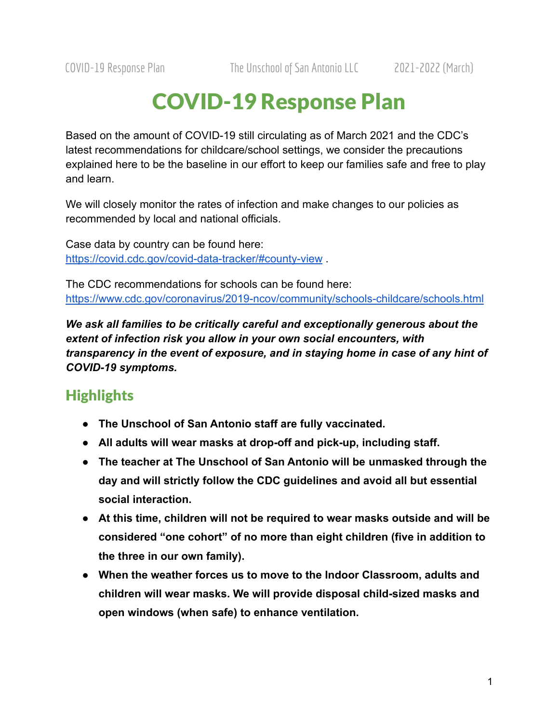# COVID-19 Response Plan

Based on the amount of COVID-19 still circulating as of March 2021 and the CDC's latest recommendations for childcare/school settings, we consider the precautions explained here to be the baseline in our effort to keep our families safe and free to play and learn.

We will closely monitor the rates of infection and make changes to our policies as recommended by local and national officials.

Case data by country can be found here: <https://covid.cdc.gov/covid-data-tracker/#county-view> .

The CDC recommendations for schools can be found here: <https://www.cdc.gov/coronavirus/2019-ncov/community/schools-childcare/schools.html>

*We ask all families to be critically careful and exceptionally generous about the extent of infection risk you allow in your own social encounters, with transparency in the event of exposure, and in staying home in case of any hint of COVID-19 symptoms.*

## **Highlights**

- **● The Unschool of San Antonio staff are fully vaccinated.**
- **● All adults will wear masks at drop-off and pick-up, including staff.**
- **● The teacher at The Unschool of San Antonio will be unmasked through the day and will strictly follow the CDC guidelines and avoid all but essential social interaction.**
- **● At this time, children will not be required to wear masks outside and will be considered "one cohort" of no more than eight children (five in addition to the three in our own family).**
- **● When the weather forces us to move to the Indoor Classroom, adults and children will wear masks. We will provide disposal child-sized masks and open windows (when safe) to enhance ventilation.**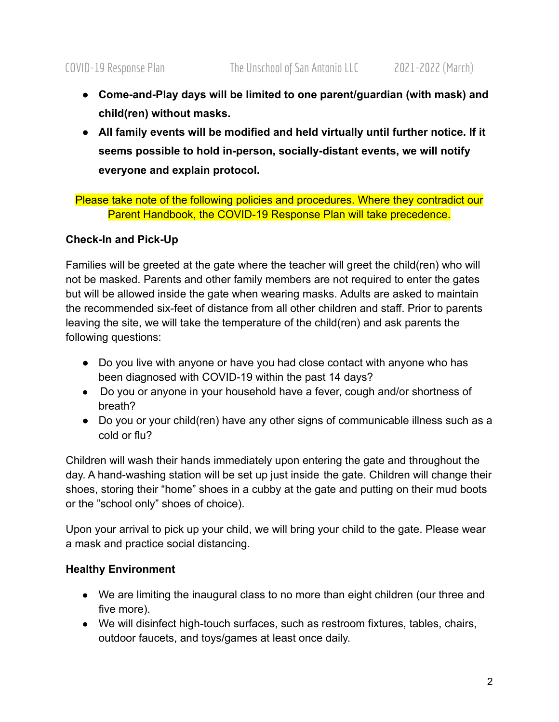- **● Come-and-Play days will be limited to one parent/guardian (with mask) and child(ren) without masks.**
- **● All family events will be modified and held virtually until further notice. If it seems possible to hold in-person, socially-distant events, we will notify everyone and explain protocol.**

Please take note of the following policies and procedures. Where they contradict our Parent Handbook, the COVID-19 Response Plan will take precedence.

#### **Check-In and Pick-Up**

Families will be greeted at the gate where the teacher will greet the child(ren) who will not be masked. Parents and other family members are not required to enter the gates but will be allowed inside the gate when wearing masks. Adults are asked to maintain the recommended six-feet of distance from all other children and staff. Prior to parents leaving the site, we will take the temperature of the child(ren) and ask parents the following questions:

- Do you live with anyone or have you had close contact with anyone who has been diagnosed with COVID-19 within the past 14 days?
- Do you or anyone in your household have a fever, cough and/or shortness of breath?
- Do you or your child(ren) have any other signs of communicable illness such as a cold or flu?

Children will wash their hands immediately upon entering the gate and throughout the day. A hand-washing station will be set up just inside the gate. Children will change their shoes, storing their "home" shoes in a cubby at the gate and putting on their mud boots or the "school only" shoes of choice).

Upon your arrival to pick up your child, we will bring your child to the gate. Please wear a mask and practice social distancing.

### **Healthy Environment**

- We are limiting the inaugural class to no more than eight children (our three and five more).
- We will disinfect high-touch surfaces, such as restroom fixtures, tables, chairs, outdoor faucets, and toys/games at least once daily.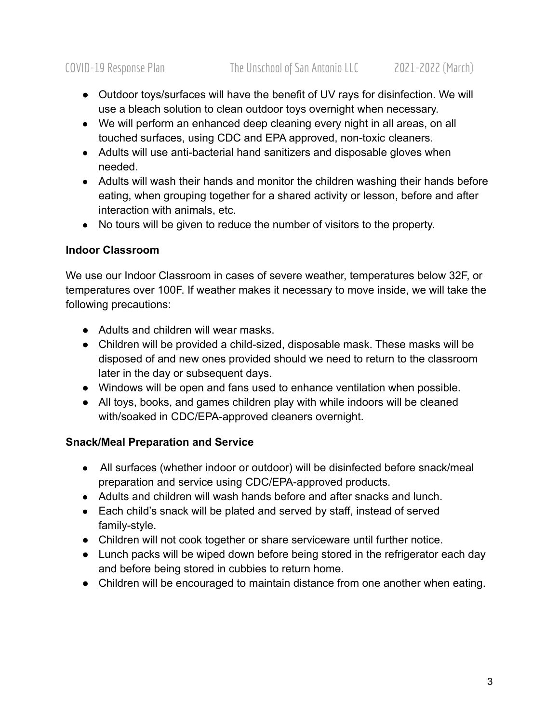- Outdoor toys/surfaces will have the benefit of UV rays for disinfection. We will use a bleach solution to clean outdoor toys overnight when necessary.
- We will perform an enhanced deep cleaning every night in all areas, on all touched surfaces, using CDC and EPA approved, non-toxic cleaners.
- Adults will use anti-bacterial hand sanitizers and disposable gloves when needed.
- Adults will wash their hands and monitor the children washing their hands before eating, when grouping together for a shared activity or lesson, before and after interaction with animals, etc.
- No tours will be given to reduce the number of visitors to the property.

#### **Indoor Classroom**

We use our Indoor Classroom in cases of severe weather, temperatures below 32F, or temperatures over 100F. If weather makes it necessary to move inside, we will take the following precautions:

- Adults and children will wear masks.
- Children will be provided a child-sized, disposable mask. These masks will be disposed of and new ones provided should we need to return to the classroom later in the day or subsequent days.
- Windows will be open and fans used to enhance ventilation when possible.
- All toys, books, and games children play with while indoors will be cleaned with/soaked in CDC/EPA-approved cleaners overnight.

#### **Snack/Meal Preparation and Service**

- All surfaces (whether indoor or outdoor) will be disinfected before snack/meal preparation and service using CDC/EPA-approved products.
- Adults and children will wash hands before and after snacks and lunch.
- Each child's snack will be plated and served by staff, instead of served family-style.
- Children will not cook together or share serviceware until further notice.
- Lunch packs will be wiped down before being stored in the refrigerator each day and before being stored in cubbies to return home.
- Children will be encouraged to maintain distance from one another when eating.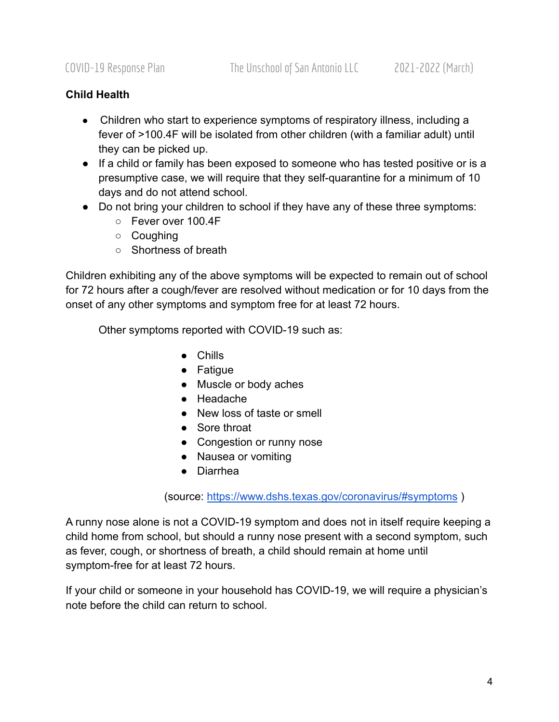#### **Child Health**

- Children who start to experience symptoms of respiratory illness, including a fever of >100.4F will be isolated from other children (with a familiar adult) until they can be picked up.
- If a child or family has been exposed to someone who has tested positive or is a presumptive case, we will require that they self-quarantine for a minimum of 10 days and do not attend school.
- Do not bring your children to school if they have any of these three symptoms:
	- Fever over 100.4F
	- Coughing
	- Shortness of breath

Children exhibiting any of the above symptoms will be expected to remain out of school for 72 hours after a cough/fever are resolved without medication or for 10 days from the onset of any other symptoms and symptom free for at least 72 hours.

Other symptoms reported with COVID-19 such as:

- Chills
- Fatigue
- Muscle or body aches
- Headache
- New loss of taste or smell
- Sore throat
- Congestion or runny nose
- Nausea or vomiting
- Diarrhea

(source: <https://www.dshs.texas.gov/coronavirus/#symptoms> )

A runny nose alone is not a COVID-19 symptom and does not in itself require keeping a child home from school, but should a runny nose present with a second symptom, such as fever, cough, or shortness of breath, a child should remain at home until symptom-free for at least 72 hours.

If your child or someone in your household has COVID-19, we will require a physician's note before the child can return to school.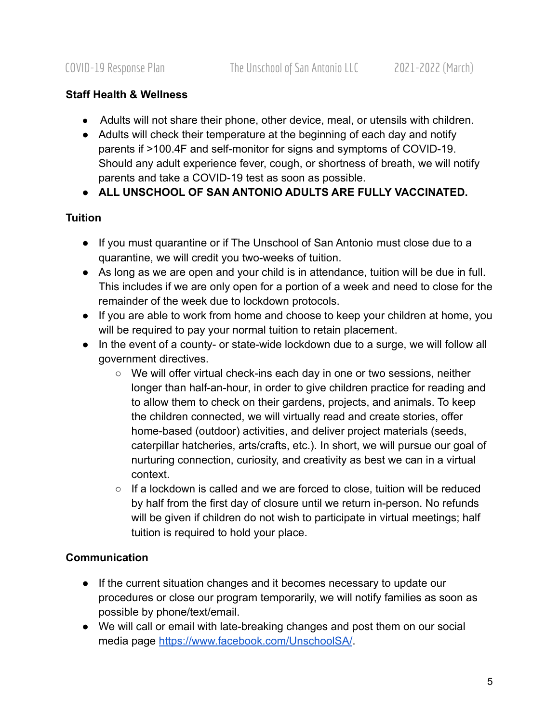#### **Staff Health & Wellness**

- Adults will not share their phone, other device, meal, or utensils with children.
- Adults will check their temperature at the beginning of each day and notify parents if >100.4F and self-monitor for signs and symptoms of COVID-19. Should any adult experience fever, cough, or shortness of breath, we will notify parents and take a COVID-19 test as soon as possible.
- **ALL UNSCHOOL OF SAN ANTONIO ADULTS ARE FULLY VACCINATED.**

#### **Tuition**

- If you must quarantine or if The Unschool of San Antonio must close due to a quarantine, we will credit you two-weeks of tuition.
- As long as we are open and your child is in attendance, tuition will be due in full. This includes if we are only open for a portion of a week and need to close for the remainder of the week due to lockdown protocols.
- If you are able to work from home and choose to keep your children at home, you will be required to pay your normal tuition to retain placement.
- In the event of a county- or state-wide lockdown due to a surge, we will follow all government directives.
	- We will offer virtual check-ins each day in one or two sessions, neither longer than half-an-hour, in order to give children practice for reading and to allow them to check on their gardens, projects, and animals. To keep the children connected, we will virtually read and create stories, offer home-based (outdoor) activities, and deliver project materials (seeds, caterpillar hatcheries, arts/crafts, etc.). In short, we will pursue our goal of nurturing connection, curiosity, and creativity as best we can in a virtual context.
	- $\circ$  If a lockdown is called and we are forced to close, tuition will be reduced by half from the first day of closure until we return in-person. No refunds will be given if children do not wish to participate in virtual meetings; half tuition is required to hold your place.

### **Communication**

- If the current situation changes and it becomes necessary to update our procedures or close our program temporarily, we will notify families as soon as possible by phone/text/email.
- We will call or email with late-breaking changes and post them on our social media page <https://www.facebook.com/UnschoolSA/>.